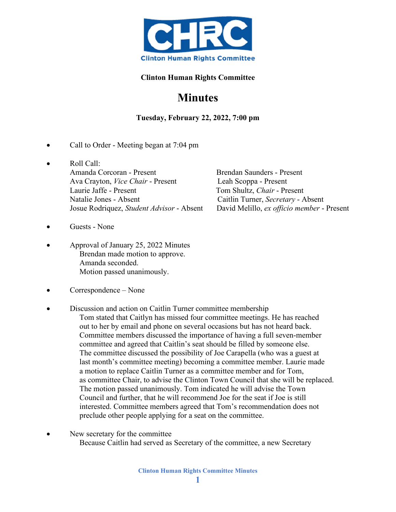

## **Clinton Human Rights Committee**

## **Minutes**

**Tuesday, February 22, 2022, 7:00 pm**

- Call to Order Meeting began at 7:04 pm
- Roll Call: Amanda Corcoran - Present Brendan Saunders - Present Ava Crayton, *Vice Chair* - Present<br>
Leah Scoppa - Present Tom Shultz, *Chair* - Pr Natalie Jones - Absent Caitlin Turner, *Secretary* - Absent
	- Tom Shultz, *Chair* Present Josue Rodriquez, *Student Advisor* - Absent David Melillo, *ex officio member* - Present
- Guests None
- Approval of January 25, 2022 Minutes Brendan made motion to approve. Amanda seconded. Motion passed unanimously.
- Correspondence None
- Discussion and action on Caitlin Turner committee membership
	- Tom stated that Caitlyn has missed four committee meetings. He has reached out to her by email and phone on several occasions but has not heard back. Committee members discussed the importance of having a full seven-member committee and agreed that Caitlin's seat should be filled by someone else. The committee discussed the possibility of Joe Carapella (who was a guest at last month's committee meeting) becoming a committee member. Laurie made a motion to replace Caitlin Turner as a committee member and for Tom, as committee Chair, to advise the Clinton Town Council that she will be replaced. The motion passed unanimously. Tom indicated he will advise the Town Council and further, that he will recommend Joe for the seat if Joe is still interested. Committee members agreed that Tom's recommendation does not preclude other people applying for a seat on the committee.
- New secretary for the committee Because Caitlin had served as Secretary of the committee, a new Secretary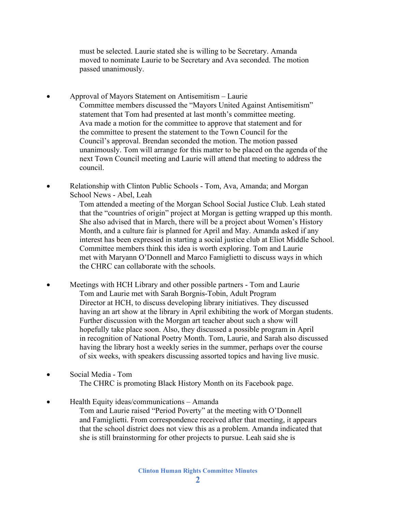must be selected. Laurie stated she is willing to be Secretary. Amanda moved to nominate Laurie to be Secretary and Ava seconded. The motion passed unanimously.

- Approval of Mayors Statement on Antisemitism Laurie Committee members discussed the "Mayors United Against Antisemitism" statement that Tom had presented at last month's committee meeting. Ava made a motion for the committee to approve that statement and for the committee to present the statement to the Town Council for the Council's approval. Brendan seconded the motion. The motion passed unanimously. Tom will arrange for this matter to be placed on the agenda of the next Town Council meeting and Laurie will attend that meeting to address the council.
- Relationship with Clinton Public Schools Tom, Ava, Amanda; and Morgan School News - Abel, Leah

 Tom attended a meeting of the Morgan School Social Justice Club. Leah stated that the "countries of origin" project at Morgan is getting wrapped up this month. She also advised that in March, there will be a project about Women's History Month, and a culture fair is planned for April and May. Amanda asked if any interest has been expressed in starting a social justice club at Eliot Middle School. Committee members think this idea is worth exploring. Tom and Laurie met with Maryann O'Donnell and Marco Famiglietti to discuss ways in which the CHRC can collaborate with the schools.

- Meetings with HCH Library and other possible partners Tom and Laurie Tom and Laurie met with Sarah Borgnis-Tobin, Adult Program Director at HCH, to discuss developing library initiatives. They discussed having an art show at the library in April exhibiting the work of Morgan students. Further discussion with the Morgan art teacher about such a show will hopefully take place soon. Also, they discussed a possible program in April in recognition of National Poetry Month. Tom, Laurie, and Sarah also discussed having the library host a weekly series in the summer, perhaps over the course of six weeks, with speakers discussing assorted topics and having live music.
- Social Media Tom The CHRC is promoting Black History Month on its Facebook page.
- Health Equity ideas/communications Amanda Tom and Laurie raised "Period Poverty" at the meeting with O'Donnell and Famiglietti. From correspondence received after that meeting, it appears that the school district does not view this as a problem. Amanda indicated that she is still brainstorming for other projects to pursue. Leah said she is